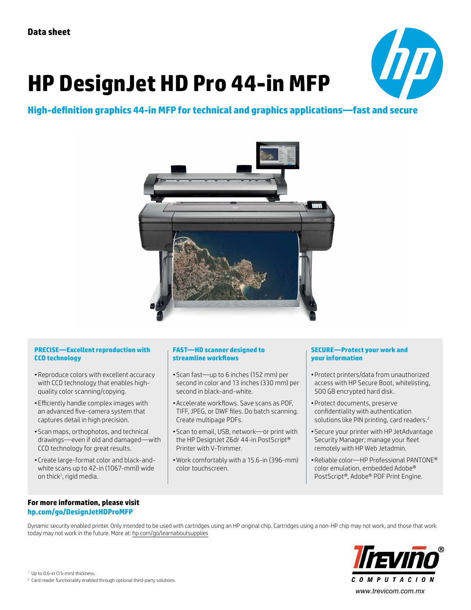# **HP DesignJet HD Pro 44-in MFP**



## **High-definition graphics 44-in MFP for technical and graphics applications—fast and secure**



#### **PRECISE—Excellent reproduction with CCD technology**

- •Reproduce colors with excellent accuracy with CCD technology that enables highquality color scanning/copying.
- •Efficiently handle complex images with an advanced five-camera system that captures detail in high precision.
- •Scan maps, orthophotos, and technical drawings—even if old and damaged—with CCD technology for great results.
- •Create large-format color and black-andwhite scans up to 42-in (1067-mm)) wide on thick<sup>1</sup>, rigid media.

### **FAST—HD scanner designed to streamline workflows**

- •Scan fast—up to 6 inches (152 mm) per second in color and 13 inches (330 mm) per second in black-and-white.
- •Accelerate workflows. Save scans as PDF, TIFF, JPEG, or DWF files. Do batch scanning. Create multipage PDFs.
- •Scan to email, USB, network—or print with the HP DesignJet Z6dr 44-in PostScript® Printer with V-Trimmer.
- •Work comfortably with a 15.6-in (396-mm) color touchscreen.

#### **SECURE—Protect your work and your information**

- •Protect printers/data from unauthorized access with HP Secure Boot, whitelisting, 500 GB encrypted hard disk.
- •Protect documents, preserve confidentiality with authentication solutions like PIN printing, card readers.<sup>2</sup>
- •Secure your printer with HP JetAdvantage Security Manager; manage your fleet remotely with HP Web Jetadmin.
- •Reliable color—HP Professional PANTONE® color emulation, embedded Adobe® PostScript®, Adobe® PDF Print Engine.

### **For more information, please visit [hp.com/go/DesignJetHDProMFP](http://hp.com/go/DesignjetHDProMFP)**

Dynamic security enabled printer. Only intended to be used with cartridges using an HP original chip. Cartridges using a non-HP chip may not work, and those that work today may not work in the future. More at: [hp.com/go/learnaboutsupplies](http://hp.com/go/learnaboutsupplies)